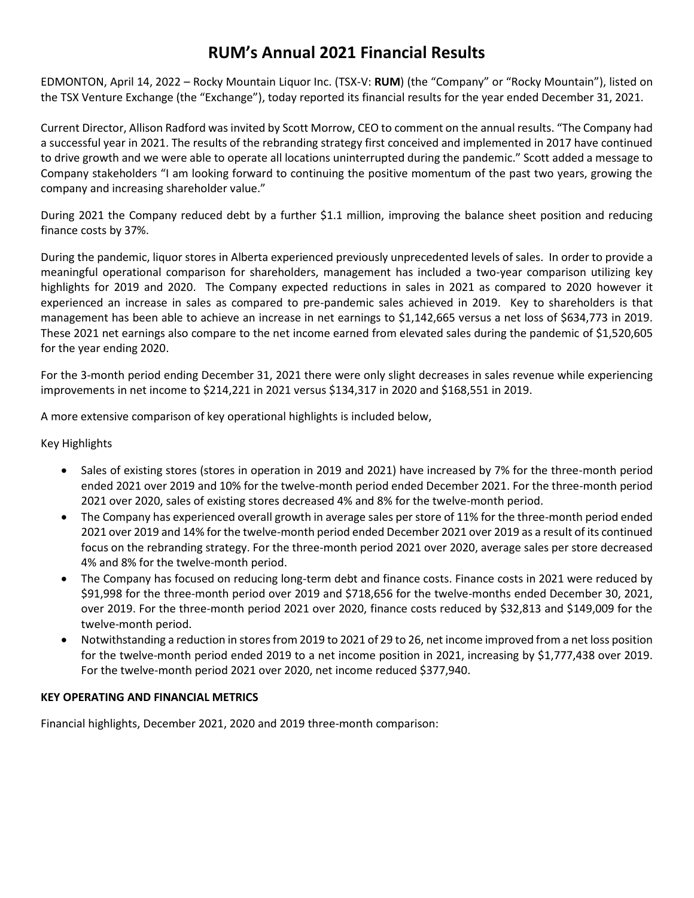## **RUM's Annual 2021 Financial Results**

EDMONTON, April 14, 2022 – Rocky Mountain Liquor Inc. (TSX-V: **RUM**) (the "Company" or "Rocky Mountain"), listed on the TSX Venture Exchange (the "Exchange"), today reported its financial results for the year ended December 31, 2021.

Current Director, Allison Radford was invited by Scott Morrow, CEO to comment on the annual results. "The Company had a successful year in 2021. The results of the rebranding strategy first conceived and implemented in 2017 have continued to drive growth and we were able to operate all locations uninterrupted during the pandemic." Scott added a message to Company stakeholders "I am looking forward to continuing the positive momentum of the past two years, growing the company and increasing shareholder value."

During 2021 the Company reduced debt by a further \$1.1 million, improving the balance sheet position and reducing finance costs by 37%.

During the pandemic, liquor stores in Alberta experienced previously unprecedented levels of sales. In order to provide a meaningful operational comparison for shareholders, management has included a two-year comparison utilizing key highlights for 2019 and 2020. The Company expected reductions in sales in 2021 as compared to 2020 however it experienced an increase in sales as compared to pre-pandemic sales achieved in 2019. Key to shareholders is that management has been able to achieve an increase in net earnings to \$1,142,665 versus a net loss of \$634,773 in 2019. These 2021 net earnings also compare to the net income earned from elevated sales during the pandemic of \$1,520,605 for the year ending 2020.

For the 3-month period ending December 31, 2021 there were only slight decreases in sales revenue while experiencing improvements in net income to \$214,221 in 2021 versus \$134,317 in 2020 and \$168,551 in 2019.

A more extensive comparison of key operational highlights is included below,

Key Highlights

- Sales of existing stores (stores in operation in 2019 and 2021) have increased by 7% for the three-month period ended 2021 over 2019 and 10% for the twelve-month period ended December 2021. For the three-month period 2021 over 2020, sales of existing stores decreased 4% and 8% for the twelve-month period.
- The Company has experienced overall growth in average sales per store of 11% for the three-month period ended 2021 over 2019 and 14% for the twelve-month period ended December 2021 over 2019 as a result of its continued focus on the rebranding strategy. For the three-month period 2021 over 2020, average sales per store decreased 4% and 8% for the twelve-month period.
- The Company has focused on reducing long-term debt and finance costs. Finance costs in 2021 were reduced by \$91,998 for the three-month period over 2019 and \$718,656 for the twelve-months ended December 30, 2021, over 2019. For the three-month period 2021 over 2020, finance costs reduced by \$32,813 and \$149,009 for the twelve-month period.
- Notwithstanding a reduction in stores from 2019 to 2021 of 29 to 26, net income improved from a net loss position for the twelve-month period ended 2019 to a net income position in 2021, increasing by \$1,777,438 over 2019. For the twelve-month period 2021 over 2020, net income reduced \$377,940.

## **KEY OPERATING AND FINANCIAL METRICS**

Financial highlights, December 2021, 2020 and 2019 three-month comparison: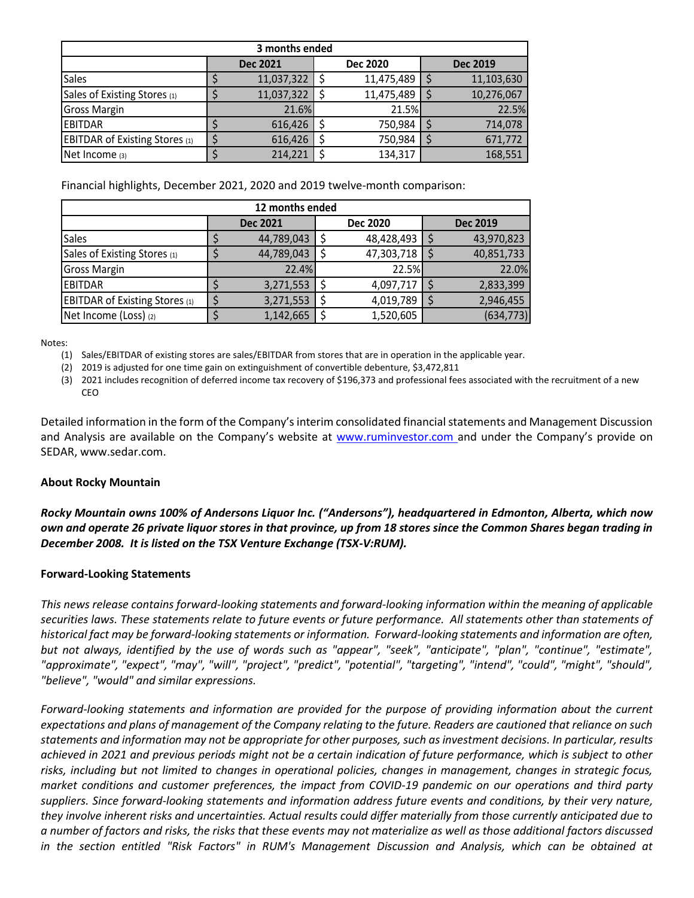| 3 months ended                        |  |                 |  |                 |  |                 |  |  |  |  |
|---------------------------------------|--|-----------------|--|-----------------|--|-----------------|--|--|--|--|
|                                       |  | <b>Dec 2021</b> |  | <b>Dec 2020</b> |  | <b>Dec 2019</b> |  |  |  |  |
| <b>Sales</b>                          |  | 11,037,322      |  | 11,475,489      |  | 11,103,630      |  |  |  |  |
| Sales of Existing Stores (1)          |  | 11,037,322      |  | 11,475,489      |  | 10,276,067      |  |  |  |  |
| <b>Gross Margin</b>                   |  | 21.6%           |  | 21.5%           |  | 22.5%           |  |  |  |  |
| <b>EBITDAR</b>                        |  | 616,426         |  | 750,984         |  | 714,078         |  |  |  |  |
| <b>EBITDAR of Existing Stores (1)</b> |  | 616,426         |  | 750,984         |  | 671,772         |  |  |  |  |
| Net Income (3)                        |  | 214,221         |  | 134,317         |  | 168,551         |  |  |  |  |

Financial highlights, December 2021, 2020 and 2019 twelve-month comparison:

| 12 months ended                       |  |                 |  |                 |  |                 |  |  |  |  |
|---------------------------------------|--|-----------------|--|-----------------|--|-----------------|--|--|--|--|
|                                       |  | <b>Dec 2021</b> |  | <b>Dec 2020</b> |  | <b>Dec 2019</b> |  |  |  |  |
| <b>Sales</b>                          |  | 44,789,043      |  | 48,428,493      |  | 43,970,823      |  |  |  |  |
| Sales of Existing Stores (1)          |  | 44,789,043      |  | 47,303,718      |  | 40,851,733      |  |  |  |  |
| <b>Gross Margin</b>                   |  | 22.4%           |  | 22.5%           |  | 22.0%           |  |  |  |  |
| <b>EBITDAR</b>                        |  | 3,271,553       |  | 4,097,717       |  | 2,833,399       |  |  |  |  |
| <b>EBITDAR of Existing Stores (1)</b> |  | 3,271,553       |  | 4,019,789       |  | 2,946,455       |  |  |  |  |
| Net Income (Loss) (2)                 |  | 1,142,665       |  | 1,520,605       |  | (634, 773)      |  |  |  |  |

Notes:

(1) Sales/EBITDAR of existing stores are sales/EBITDAR from stores that are in operation in the applicable year.

(2) 2019 is adjusted for one time gain on extinguishment of convertible debenture, \$3,472,811

(3) 2021 includes recognition of deferred income tax recovery of \$196,373 and professional fees associated with the recruitment of a new CEO

Detailed information in the form of the Company's interim consolidated financial statements and Management Discussion and Analysis are available on the Company's website at [www.ruminvestor.com](http://www.ruminvestor.com/) and under the Company's provide on SEDAR, www.sedar.com.

## **About Rocky Mountain**

*Rocky Mountain owns 100% of Andersons Liquor Inc. ("Andersons"), headquartered in Edmonton, Alberta, which now own and operate 26 private liquor stores in that province, up from 18 stores since the Common Shares began trading in December 2008. It is listed on the TSX Venture Exchange (TSX-V:RUM).*

## **Forward-Looking Statements**

*This news release contains forward-looking statements and forward-looking information within the meaning of applicable securities laws. These statements relate to future events or future performance. All statements other than statements of historical fact may be forward-looking statements or information. Forward-looking statements and information are often, but not always, identified by the use of words such as "appear", "seek", "anticipate", "plan", "continue", "estimate", "approximate", "expect", "may", "will", "project", "predict", "potential", "targeting", "intend", "could", "might", "should", "believe", "would" and similar expressions.* 

*Forward-looking statements and information are provided for the purpose of providing information about the current expectations and plans of management of the Company relating to the future. Readers are cautioned that reliance on such statements and information may not be appropriate for other purposes, such as investment decisions. In particular, results achieved in 2021 and previous periods might not be a certain indication of future performance, which is subject to other risks, including but not limited to changes in operational policies, changes in management, changes in strategic focus, market conditions and customer preferences, the impact from COVID-19 pandemic on our operations and third party suppliers. Since forward-looking statements and information address future events and conditions, by their very nature, they involve inherent risks and uncertainties. Actual results could differ materially from those currently anticipated due to a number of factors and risks, the risks that these events may not materialize as well as those additional factors discussed in the section entitled "Risk Factors" in RUM's Management Discussion and Analysis, which can be obtained at*